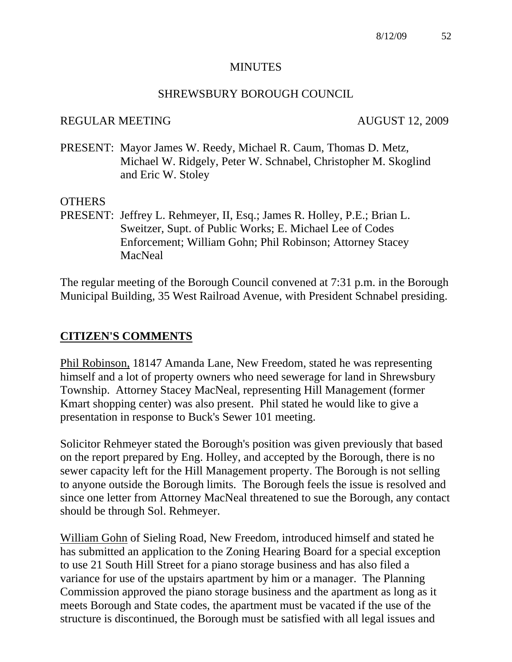#### **MINUTES**

#### SHREWSBURY BOROUGH COUNCIL

#### REGULAR MEETING AUGUST 12, 2009

PRESENT: Mayor James W. Reedy, Michael R. Caum, Thomas D. Metz, Michael W. Ridgely, Peter W. Schnabel, Christopher M. Skoglind and Eric W. Stoley

#### **OTHERS**

PRESENT: Jeffrey L. Rehmeyer, II, Esq.; James R. Holley, P.E.; Brian L. Sweitzer, Supt. of Public Works; E. Michael Lee of Codes Enforcement; William Gohn; Phil Robinson; Attorney Stacey **MacNeal** 

The regular meeting of the Borough Council convened at 7:31 p.m. in the Borough Municipal Building, 35 West Railroad Avenue, with President Schnabel presiding.

#### **CITIZEN'S COMMENTS**

Phil Robinson, 18147 Amanda Lane, New Freedom, stated he was representing himself and a lot of property owners who need sewerage for land in Shrewsbury Township. Attorney Stacey MacNeal, representing Hill Management (former Kmart shopping center) was also present. Phil stated he would like to give a presentation in response to Buck's Sewer 101 meeting.

Solicitor Rehmeyer stated the Borough's position was given previously that based on the report prepared by Eng. Holley, and accepted by the Borough, there is no sewer capacity left for the Hill Management property. The Borough is not selling to anyone outside the Borough limits. The Borough feels the issue is resolved and since one letter from Attorney MacNeal threatened to sue the Borough, any contact should be through Sol. Rehmeyer.

William Gohn of Sieling Road, New Freedom, introduced himself and stated he has submitted an application to the Zoning Hearing Board for a special exception to use 21 South Hill Street for a piano storage business and has also filed a variance for use of the upstairs apartment by him or a manager. The Planning Commission approved the piano storage business and the apartment as long as it meets Borough and State codes, the apartment must be vacated if the use of the structure is discontinued, the Borough must be satisfied with all legal issues and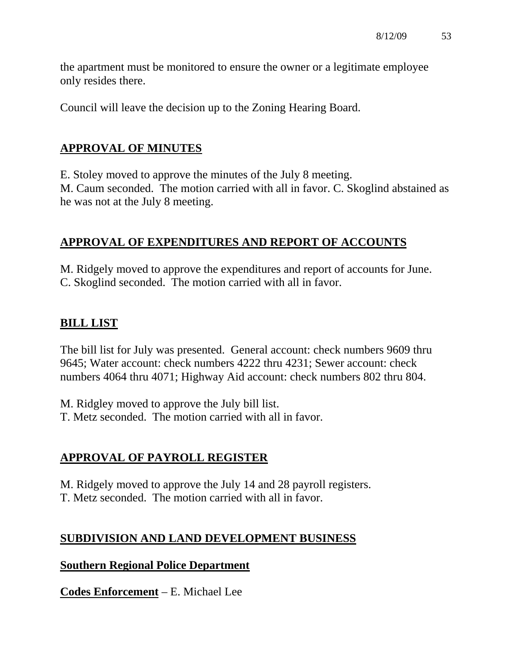the apartment must be monitored to ensure the owner or a legitimate employee only resides there.

Council will leave the decision up to the Zoning Hearing Board.

## **APPROVAL OF MINUTES**

E. Stoley moved to approve the minutes of the July 8 meeting. M. Caum seconded. The motion carried with all in favor. C. Skoglind abstained as he was not at the July 8 meeting.

# **APPROVAL OF EXPENDITURES AND REPORT OF ACCOUNTS**

M. Ridgely moved to approve the expenditures and report of accounts for June. C. Skoglind seconded. The motion carried with all in favor.

## **BILL LIST**

The bill list for July was presented. General account: check numbers 9609 thru 9645; Water account: check numbers 4222 thru 4231; Sewer account: check numbers 4064 thru 4071; Highway Aid account: check numbers 802 thru 804.

M. Ridgley moved to approve the July bill list. T. Metz seconded. The motion carried with all in favor.

## **APPROVAL OF PAYROLL REGISTER**

M. Ridgely moved to approve the July 14 and 28 payroll registers. T. Metz seconded. The motion carried with all in favor.

## **SUBDIVISION AND LAND DEVELOPMENT BUSINESS**

### **Southern Regional Police Department**

**Codes Enforcement** – E. Michael Lee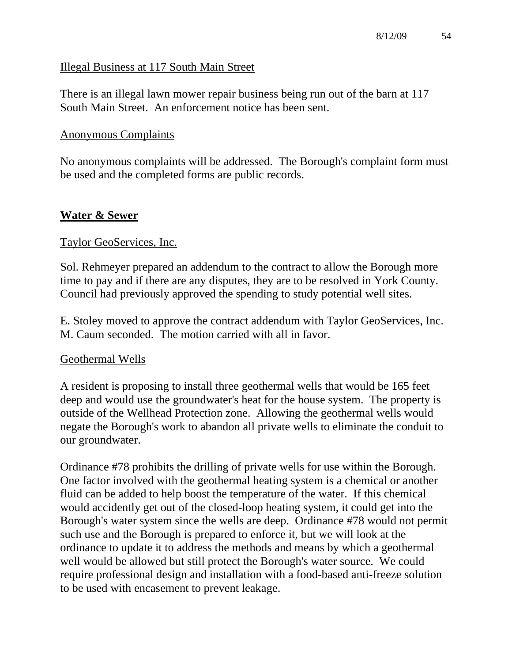### Illegal Business at 117 South Main Street

There is an illegal lawn mower repair business being run out of the barn at 117 South Main Street. An enforcement notice has been sent.

## Anonymous Complaints

No anonymous complaints will be addressed. The Borough's complaint form must be used and the completed forms are public records.

## **Water & Sewer**

## Taylor GeoServices, Inc.

Sol. Rehmeyer prepared an addendum to the contract to allow the Borough more time to pay and if there are any disputes, they are to be resolved in York County. Council had previously approved the spending to study potential well sites.

E. Stoley moved to approve the contract addendum with Taylor GeoServices, Inc. M. Caum seconded. The motion carried with all in favor.

### Geothermal Wells

A resident is proposing to install three geothermal wells that would be 165 feet deep and would use the groundwater's heat for the house system. The property is outside of the Wellhead Protection zone. Allowing the geothermal wells would negate the Borough's work to abandon all private wells to eliminate the conduit to our groundwater.

Ordinance #78 prohibits the drilling of private wells for use within the Borough. One factor involved with the geothermal heating system is a chemical or another fluid can be added to help boost the temperature of the water. If this chemical would accidently get out of the closed-loop heating system, it could get into the Borough's water system since the wells are deep. Ordinance #78 would not permit such use and the Borough is prepared to enforce it, but we will look at the ordinance to update it to address the methods and means by which a geothermal well would be allowed but still protect the Borough's water source. We could require professional design and installation with a food-based anti-freeze solution to be used with encasement to prevent leakage.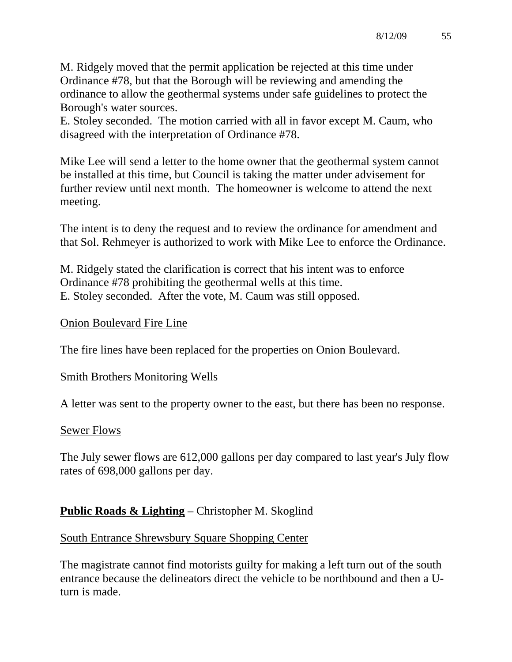M. Ridgely moved that the permit application be rejected at this time under Ordinance #78, but that the Borough will be reviewing and amending the ordinance to allow the geothermal systems under safe guidelines to protect the Borough's water sources.

E. Stoley seconded. The motion carried with all in favor except M. Caum, who disagreed with the interpretation of Ordinance #78.

Mike Lee will send a letter to the home owner that the geothermal system cannot be installed at this time, but Council is taking the matter under advisement for further review until next month. The homeowner is welcome to attend the next meeting.

The intent is to deny the request and to review the ordinance for amendment and that Sol. Rehmeyer is authorized to work with Mike Lee to enforce the Ordinance.

M. Ridgely stated the clarification is correct that his intent was to enforce Ordinance #78 prohibiting the geothermal wells at this time. E. Stoley seconded. After the vote, M. Caum was still opposed.

#### Onion Boulevard Fire Line

The fire lines have been replaced for the properties on Onion Boulevard.

#### Smith Brothers Monitoring Wells

A letter was sent to the property owner to the east, but there has been no response.

#### Sewer Flows

The July sewer flows are 612,000 gallons per day compared to last year's July flow rates of 698,000 gallons per day.

## **Public Roads & Lighting** – Christopher M. Skoglind

### South Entrance Shrewsbury Square Shopping Center

The magistrate cannot find motorists guilty for making a left turn out of the south entrance because the delineators direct the vehicle to be northbound and then a Uturn is made.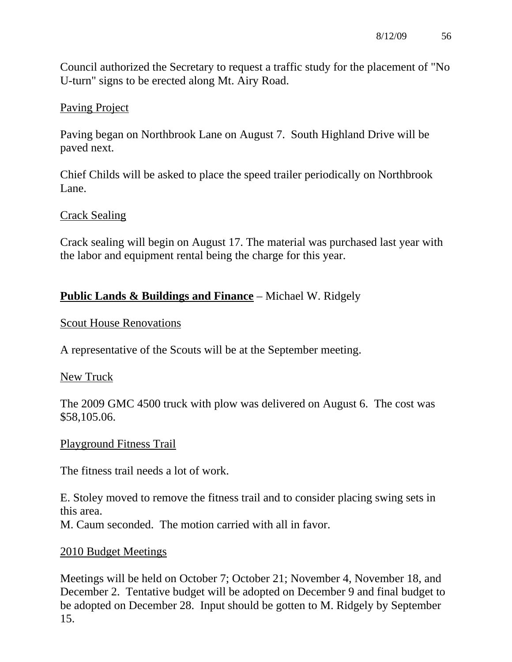Council authorized the Secretary to request a traffic study for the placement of "No U-turn" signs to be erected along Mt. Airy Road.

## Paving Project

Paving began on Northbrook Lane on August 7. South Highland Drive will be paved next.

Chief Childs will be asked to place the speed trailer periodically on Northbrook Lane.

## Crack Sealing

Crack sealing will begin on August 17. The material was purchased last year with the labor and equipment rental being the charge for this year.

## **Public Lands & Buildings and Finance** – Michael W. Ridgely

### Scout House Renovations

A representative of the Scouts will be at the September meeting.

### New Truck

The 2009 GMC 4500 truck with plow was delivered on August 6. The cost was \$58,105.06.

### Playground Fitness Trail

The fitness trail needs a lot of work.

E. Stoley moved to remove the fitness trail and to consider placing swing sets in this area. M. Caum seconded. The motion carried with all in favor.

### 2010 Budget Meetings

Meetings will be held on October 7; October 21; November 4, November 18, and December 2. Tentative budget will be adopted on December 9 and final budget to be adopted on December 28. Input should be gotten to M. Ridgely by September 15.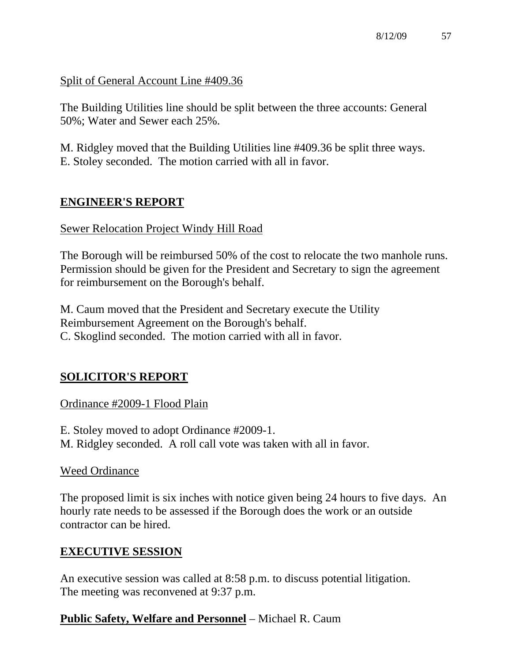Split of General Account Line #409.36

The Building Utilities line should be split between the three accounts: General 50%; Water and Sewer each 25%.

M. Ridgley moved that the Building Utilities line #409.36 be split three ways. E. Stoley seconded. The motion carried with all in favor.

# **ENGINEER'S REPORT**

## Sewer Relocation Project Windy Hill Road

The Borough will be reimbursed 50% of the cost to relocate the two manhole runs. Permission should be given for the President and Secretary to sign the agreement for reimbursement on the Borough's behalf.

M. Caum moved that the President and Secretary execute the Utility Reimbursement Agreement on the Borough's behalf. C. Skoglind seconded. The motion carried with all in favor.

# **SOLICITOR'S REPORT**

## Ordinance #2009-1 Flood Plain

E. Stoley moved to adopt Ordinance #2009-1. M. Ridgley seconded. A roll call vote was taken with all in favor.

## Weed Ordinance

The proposed limit is six inches with notice given being 24 hours to five days. An hourly rate needs to be assessed if the Borough does the work or an outside contractor can be hired.

## **EXECUTIVE SESSION**

An executive session was called at 8:58 p.m. to discuss potential litigation. The meeting was reconvened at 9:37 p.m.

# **Public Safety, Welfare and Personnel** – Michael R. Caum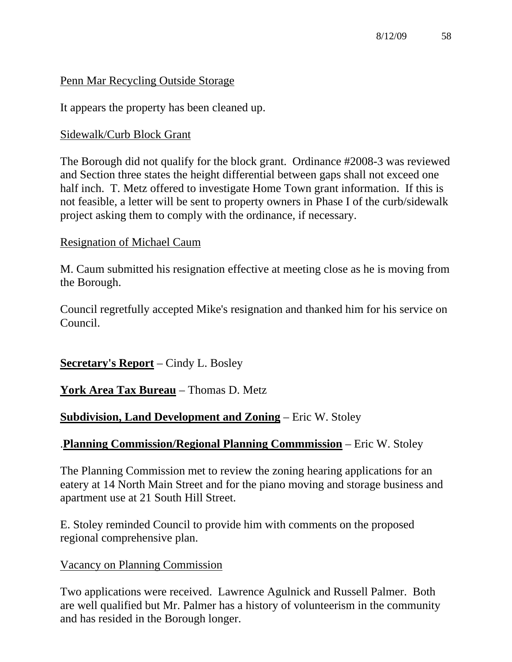### Penn Mar Recycling Outside Storage

It appears the property has been cleaned up.

### Sidewalk/Curb Block Grant

The Borough did not qualify for the block grant. Ordinance #2008-3 was reviewed and Section three states the height differential between gaps shall not exceed one half inch. T. Metz offered to investigate Home Town grant information. If this is not feasible, a letter will be sent to property owners in Phase I of the curb/sidewalk project asking them to comply with the ordinance, if necessary.

### Resignation of Michael Caum

M. Caum submitted his resignation effective at meeting close as he is moving from the Borough.

Council regretfully accepted Mike's resignation and thanked him for his service on Council.

**Secretary's Report** – Cindy L. Bosley

**York Area Tax Bureau** – Thomas D. Metz

## **Subdivision, Land Development and Zoning** – Eric W. Stoley

## .**Planning Commission/Regional Planning Commmission** – Eric W. Stoley

The Planning Commission met to review the zoning hearing applications for an eatery at 14 North Main Street and for the piano moving and storage business and apartment use at 21 South Hill Street.

E. Stoley reminded Council to provide him with comments on the proposed regional comprehensive plan.

### Vacancy on Planning Commission

Two applications were received. Lawrence Agulnick and Russell Palmer. Both are well qualified but Mr. Palmer has a history of volunteerism in the community and has resided in the Borough longer.